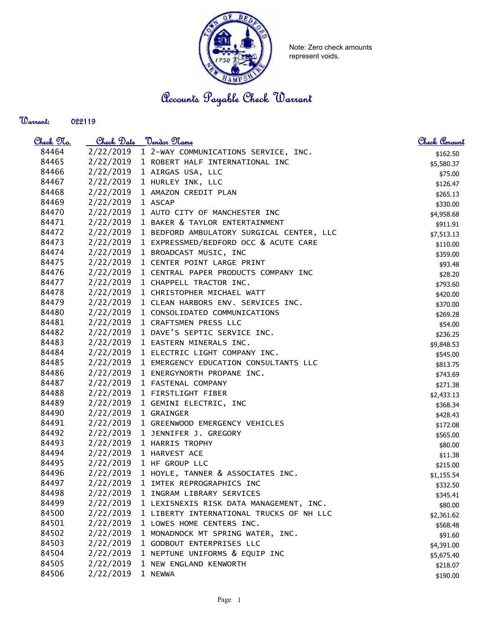

Note: Zero check amounts represent voids.

Accounts Payable Check Warrant

Warrant: 

| <u>Check No.</u> | Check Date        | Vendor Name                                     | Check Amount |
|------------------|-------------------|-------------------------------------------------|--------------|
| 84464            | 2/22/2019         | 1 2-WAY COMMUNICATIONS SERVICE, INC.            | \$162.50     |
| 84465            |                   | 2/22/2019 1 ROBERT HALF INTERNATIONAL INC       | \$5,580.37   |
| 84466            |                   | 2/22/2019 1 AIRGAS USA, LLC                     | \$75.00      |
| 84467            |                   | 2/22/2019 1 HURLEY INK, LLC                     | \$126.47     |
| 84468            |                   | 2/22/2019 1 AMAZON CREDIT PLAN                  | \$265.13     |
| 84469            | 2/22/2019 1 ASCAP |                                                 | \$330.00     |
| 84470            | 2/22/2019         | 1 AUTO CITY OF MANCHESTER INC                   | \$4,958.68   |
| 84471            | 2/22/2019         | 1 BAKER & TAYLOR ENTERTAINMENT                  | \$911.91     |
| 84472            | 2/22/2019         | 1 BEDFORD AMBULATORY SURGICAL CENTER, LLC       | \$7,513.13   |
| 84473            | 2/22/2019         | 1 EXPRESSMED/BEDFORD OCC & ACUTE CARE           | \$110.00     |
| 84474            | 2/22/2019         | 1 BROADCAST MUSIC, INC                          | \$359.00     |
| 84475            | 2/22/2019         | 1 CENTER POINT LARGE PRINT                      | \$93.48      |
| 84476            | 2/22/2019         | 1 CENTRAL PAPER PRODUCTS COMPANY INC            | \$28.20      |
| 84477            |                   | 2/22/2019 1 CHAPPELL TRACTOR INC.               | \$793.60     |
| 84478            | 2/22/2019         | 1 CHRISTOPHER MICHAEL WATT                      | \$420.00     |
| 84479            | 2/22/2019         | 1 CLEAN HARBORS ENV. SERVICES INC.              | \$370.00     |
| 84480            | 2/22/2019         | 1 CONSOLIDATED COMMUNICATIONS                   | \$269.28     |
| 84481            | 2/22/2019         | 1 CRAFTSMEN PRESS LLC                           | \$54.00      |
| 84482            | 2/22/2019         | 1 DAVE'S SEPTIC SERVICE INC.                    | \$236.25     |
| 84483            |                   | 2/22/2019 1 EASTERN MINERALS INC.               | \$9,848.53   |
| 84484            |                   | 2/22/2019 1 ELECTRIC LIGHT COMPANY INC.         | \$545.00     |
| 84485            |                   | 2/22/2019 1 EMERGENCY EDUCATION CONSULTANTS LLC | \$813.75     |
| 84486            |                   | 2/22/2019 1 ENERGYNORTH PROPANE INC.            | \$743.69     |
| 84487            | 2/22/2019         | 1 FASTENAL COMPANY                              | \$271.38     |
| 84488            | 2/22/2019         | 1 FIRSTLIGHT FIBER                              | \$2,433.13   |
| 84489            | 2/22/2019         | 1 GEMINI ELECTRIC, INC                          | \$368.34     |
| 84490            | 2/22/2019         | 1 GRAINGER                                      | \$428.43     |
| 84491            | 2/22/2019         | 1 GREENWOOD EMERGENCY VEHICLES                  | \$172.08     |
| 84492            | 2/22/2019         | 1 JENNIFER J. GREGORY                           | \$565.00     |
| 84493            | 2/22/2019         | 1 HARRIS TROPHY                                 | \$80.00      |
| 84494            |                   | 2/22/2019 1 HARVEST ACE                         | \$11.38      |
| 84495            |                   | 2/22/2019 1 HF GROUP LLC                        | \$215.00     |
| 84496            |                   | 2/22/2019 1 HOYLE, TANNER & ASSOCIATES INC.     | \$1,155.54   |
| 84497            | 2/22/2019         | 1 IMTEK REPROGRAPHICS INC                       | \$332.50     |
| 84498            | 2/22/2019         | 1 INGRAM LIBRARY SERVICES                       | \$345.41     |
| 84499            | 2/22/2019         | 1 LEXISNEXIS RISK DATA MANAGEMENT, INC.         | \$80.00      |
| 84500            | 2/22/2019         | 1 LIBERTY INTERNATIONAL TRUCKS OF NH LLC        | \$2,361.62   |
| 84501            | 2/22/2019         | 1 LOWES HOME CENTERS INC.                       | \$568.48     |
| 84502            | 2/22/2019         | 1 MONADNOCK MT SPRING WATER, INC.               | \$91.60      |
| 84503            | 2/22/2019         | 1 GODBOUT ENTERPRISES LLC                       | \$4,391.00   |
| 84504            | 2/22/2019         | 1 NEPTUNE UNIFORMS & EQUIP INC                  | \$5,675.40   |
| 84505            | 2/22/2019         | 1 NEW ENGLAND KENWORTH                          | \$218.07     |
| 84506            | 2/22/2019         | 1 NEWWA                                         | \$190.00     |